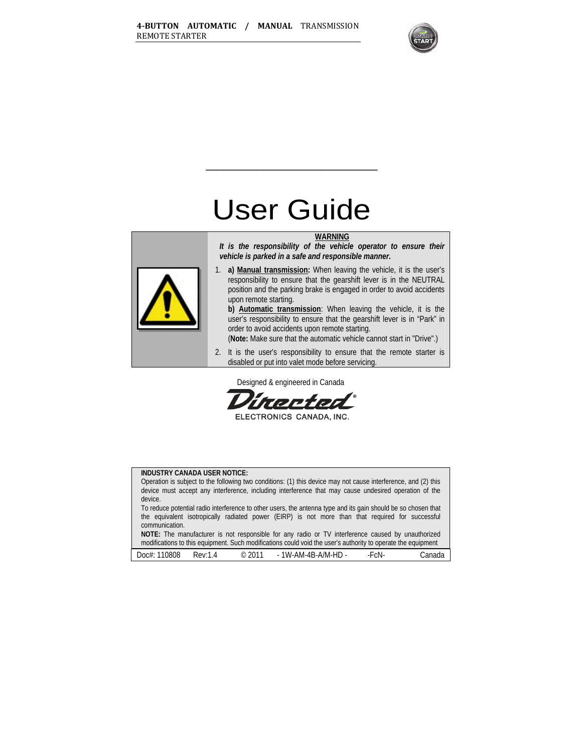

# User Guide

\_\_\_\_\_\_\_\_\_\_\_\_\_\_\_\_\_\_\_\_\_\_\_\_\_\_\_\_\_\_

#### **WARNING**



*It is the responsibility of the vehicle operator to ensure their vehicle is parked in a safe and responsible manner.* 

1. **a) Manual transmission:** When leaving the vehicle, it is the user's responsibility to ensure that the gearshift lever is in the NEUTRAL position and the parking brake is engaged in order to avoid accidents upon remote starting.

**b) Automatic transmission**: When leaving the vehicle, it is the user's responsibility to ensure that the gearshift lever is in "Park" in order to avoid accidents upon remote starting.

(**Note:** Make sure that the automatic vehicle cannot start in "Drive".)

2. It is the user's responsibility to ensure that the remote starter is disabled or put into valet mode before servicing.

Designed & engineered in Canada



ELECTRONICS CANADA, INC.

#### **INDUSTRY CANADA USER NOTICE:**

Operation is subject to the following two conditions: (1) this device may not cause interference, and (2) this device must accept any interference, including interference that may cause undesired operation of the device.

To reduce potential radio interference to other users, the antenna type and its gain should be so chosen that the equivalent isotropically radiated power (EIRP) is not more than that required for successful communication.

**NOTE:** The manufacturer is not responsible for any radio or TV interference caused by unauthorized modifications to this equipment. Such modifications could void the user's authority to operate the equipment

| 0808<br>DOCff | Rev <sup>.</sup> | 2011<br>$\sim$<br>ربی<br>. | 1W-AM-4B-A/M-HD - | cΝ | anada |
|---------------|------------------|----------------------------|-------------------|----|-------|
|---------------|------------------|----------------------------|-------------------|----|-------|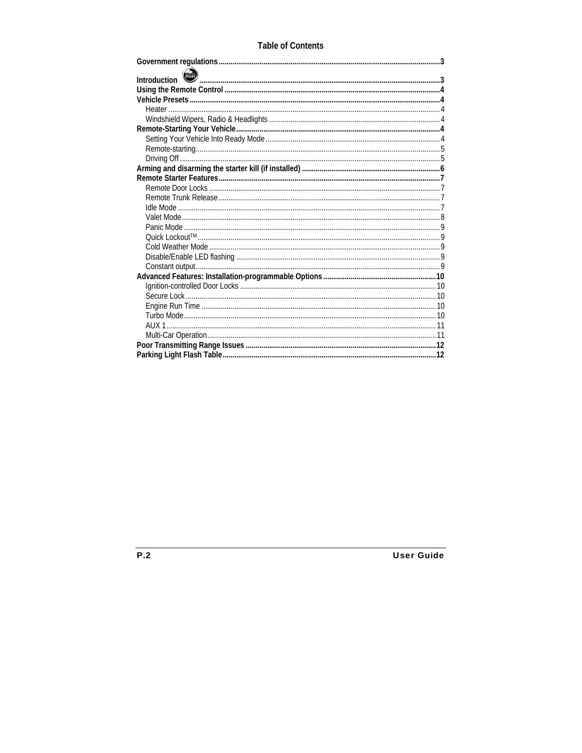# **Table of Contents**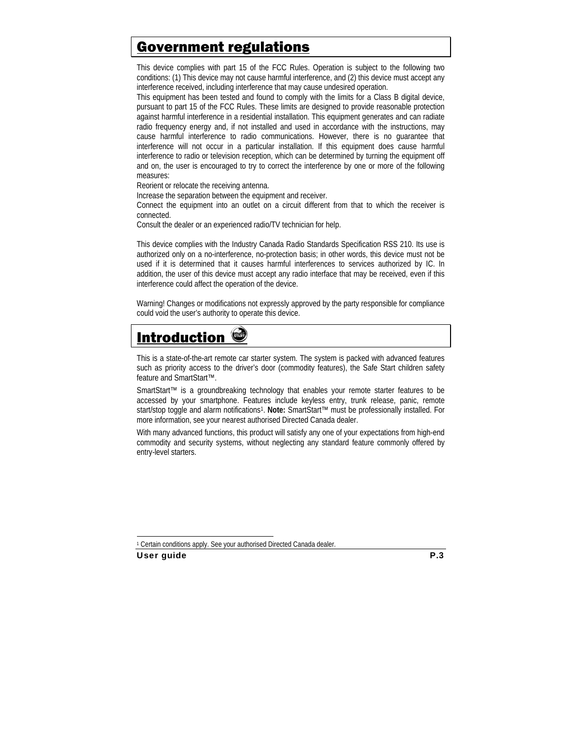# Government regulations

This device complies with part 15 of the FCC Rules. Operation is subject to the following two conditions: (1) This device may not cause harmful interference, and (2) this device must accept any interference received, including interference that may cause undesired operation.

This equipment has been tested and found to comply with the limits for a Class B digital device, pursuant to part 15 of the FCC Rules. These limits are designed to provide reasonable protection against harmful interference in a residential installation. This equipment generates and can radiate radio frequency energy and, if not installed and used in accordance with the instructions, may cause harmful interference to radio communications. However, there is no guarantee that interference will not occur in a particular installation. If this equipment does cause harmful interference to radio or television reception, which can be determined by turning the equipment off and on, the user is encouraged to try to correct the interference by one or more of the following measures:

Reorient or relocate the receiving antenna.

Increase the separation between the equipment and receiver.

Connect the equipment into an outlet on a circuit different from that to which the receiver is connected.

Consult the dealer or an experienced radio/TV technician for help.

This device complies with the Industry Canada Radio Standards Specification RSS 210. Its use is authorized only on a no-interference, no-protection basis; in other words, this device must not be used if it is determined that it causes harmful interferences to services authorized by IC. In addition, the user of this device must accept any radio interface that may be received, even if this interference could affect the operation of the device.

Warning! Changes or modifications not expressly approved by the party responsible for compliance could void the user's authority to operate this device.

# **Introduction**

This is a state-of-the-art remote car starter system. The system is packed with advanced features such as priority access to the driver's door (commodity features), the Safe Start children safety feature and SmartStart™.

SmartStart™ is a groundbreaking technology that enables your remote starter features to be accessed by your smartphone. Features include keyless entry, trunk release, panic, remote start/stop toggle and alarm notifications1. **Note:** SmartStart™ must be professionally installed. For more information, see your nearest authorised Directed Canada dealer.

With many advanced functions, this product will satisfy any one of your expectations from high-end commodity and security systems, without neglecting any standard feature commonly offered by entry-level starters.

 $\overline{a}$ 

<sup>1</sup> Certain conditions apply. See your authorised Directed Canada dealer.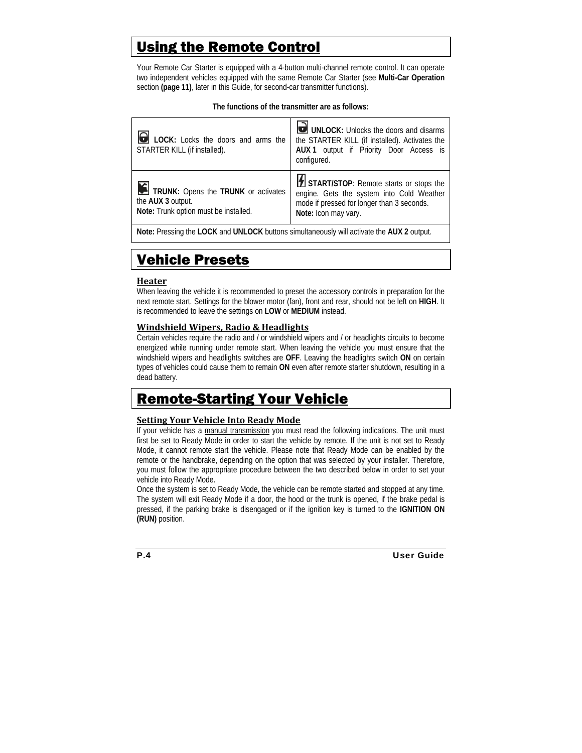# Using the Remote Control

Your Remote Car Starter is equipped with a 4-button multi-channel remote control. It can operate two independent vehicles equipped with the same Remote Car Starter (see **Multi-Car Operation**  section **(page 11)**, later in this Guide, for second-car transmitter functions).

#### **The functions of the transmitter are as follows:**

| <b>O</b> LOCK: Locks the doors and arms the<br>STARTER KILL (if installed).                       | UNLOCK: Unlocks the doors and disarms<br>the STARTER KILL (if installed). Activates the<br>AUX 1 output if Priority Door Access is<br>configured.         |
|---------------------------------------------------------------------------------------------------|-----------------------------------------------------------------------------------------------------------------------------------------------------------|
| TRUNK: Opens the TRUNK or activates<br>the AUX 3 output.<br>Note: Trunk option must be installed. | START/STOP: Remote starts or stops the<br>engine. Gets the system into Cold Weather<br>mode if pressed for longer than 3 seconds.<br>Note: Icon may vary. |

**Note:** Pressing the **LOCK** and **UNLOCK** buttons simultaneously will activate the **AUX 2** output.

# Vehicle Presets

#### **Heater**

When leaving the vehicle it is recommended to preset the accessory controls in preparation for the next remote start. Settings for the blower motor (fan), front and rear, should not be left on **HIGH**. It is recommended to leave the settings on **LOW** or **MEDIUM** instead.

### **Windshield Wipers, Radio & Headlights**

Certain vehicles require the radio and / or windshield wipers and / or headlights circuits to become energized while running under remote start. When leaving the vehicle you must ensure that the windshield wipers and headlights switches are **OFF**. Leaving the headlights switch **ON** on certain types of vehicles could cause them to remain **ON** even after remote starter shutdown, resulting in a dead battery.

# Remote-Starting Your Vehicle

### **Setting Your Vehicle Into Ready Mode**

If your vehicle has a manual transmission you must read the following indications. The unit must first be set to Ready Mode in order to start the vehicle by remote. If the unit is not set to Ready Mode, it cannot remote start the vehicle. Please note that Ready Mode can be enabled by the remote or the handbrake, depending on the option that was selected by your installer. Therefore, you must follow the appropriate procedure between the two described below in order to set your vehicle into Ready Mode.

Once the system is set to Ready Mode, the vehicle can be remote started and stopped at any time. The system will exit Ready Mode if a door, the hood or the trunk is opened, if the brake pedal is pressed, if the parking brake is disengaged or if the ignition key is turned to the **IGNITION ON (RUN)** position.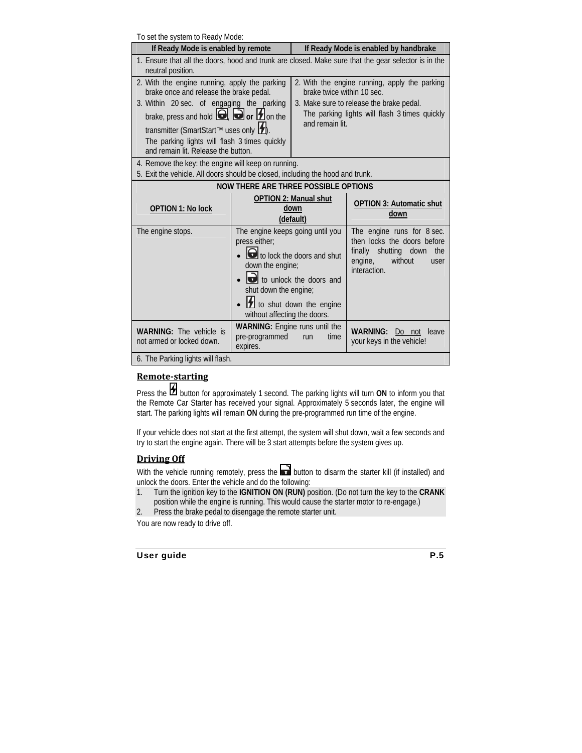To set the system to Ready Mode:

| TO SET THE SYSTEM TO MEANY IVIOUE.                                                                                                                                                                                                                                                                                                         |                                                                                                                                                                                                                    |                                                                                                                                                                                             |                                                                                                                                            |  |
|--------------------------------------------------------------------------------------------------------------------------------------------------------------------------------------------------------------------------------------------------------------------------------------------------------------------------------------------|--------------------------------------------------------------------------------------------------------------------------------------------------------------------------------------------------------------------|---------------------------------------------------------------------------------------------------------------------------------------------------------------------------------------------|--------------------------------------------------------------------------------------------------------------------------------------------|--|
| If Ready Mode is enabled by remote                                                                                                                                                                                                                                                                                                         |                                                                                                                                                                                                                    | If Ready Mode is enabled by handbrake                                                                                                                                                       |                                                                                                                                            |  |
| 1. Ensure that all the doors, hood and trunk are closed. Make sure that the gear selector is in the<br>neutral position.                                                                                                                                                                                                                   |                                                                                                                                                                                                                    |                                                                                                                                                                                             |                                                                                                                                            |  |
| 2. With the engine running, apply the parking<br>brake once and release the brake pedal.<br>3. Within 20 sec. of engaging the parking<br>brake, press and hold $\Box$ , $\Box$ or $\Box$ on the<br>transmitter (SmartStart™ uses only <b>[1</b> ).<br>The parking lights will flash 3 times quickly<br>and remain lit. Release the button. |                                                                                                                                                                                                                    | 2. With the engine running, apply the parking<br>brake twice within 10 sec.<br>3. Make sure to release the brake pedal.<br>The parking lights will flash 3 times quickly<br>and remain lit. |                                                                                                                                            |  |
| 4. Remove the key: the engine will keep on running.<br>5. Exit the vehicle. All doors should be closed, including the hood and trunk.                                                                                                                                                                                                      |                                                                                                                                                                                                                    |                                                                                                                                                                                             |                                                                                                                                            |  |
|                                                                                                                                                                                                                                                                                                                                            | NOW THERE ARE THREE POSSIBLE OPTIONS                                                                                                                                                                               |                                                                                                                                                                                             |                                                                                                                                            |  |
| <b>OPTION 1: No lock</b>                                                                                                                                                                                                                                                                                                                   |                                                                                                                                                                                                                    | <b>OPTION 2: Manual shut</b><br>down<br>(default)                                                                                                                                           | <b>OPTION 3: Automatic shut</b><br>down                                                                                                    |  |
| The engine stops.                                                                                                                                                                                                                                                                                                                          | The engine keeps going until you<br>press either;<br>to lock the doors and shut<br>down the engine;<br>to unlock the doors and<br>shut down the engine;<br>to shut down the engine<br>without affecting the doors. |                                                                                                                                                                                             | The engine runs for 8 sec.<br>then locks the doors before<br>shutting down<br>finally<br>the<br>engine,<br>without<br>user<br>interaction. |  |
| WARNING: The vehicle is<br>not armed or locked down.<br>6. The Parking lights will flash.                                                                                                                                                                                                                                                  | <b>WARNING:</b> Engine runs until the<br><b>WARNING:</b><br>Do not<br>leave<br>pre-programmed<br>time<br>run<br>your keys in the vehicle!<br>expires.                                                              |                                                                                                                                                                                             |                                                                                                                                            |  |
|                                                                                                                                                                                                                                                                                                                                            |                                                                                                                                                                                                                    |                                                                                                                                                                                             |                                                                                                                                            |  |

### **Remotestarting**

Press the **button for approximately 1 second.** The parking lights will turn **ON** to inform you that the Remote Car Starter has received your signal. Approximately 5 seconds later, the engine will start. The parking lights will remain **ON** during the pre-programmed run time of the engine.

If your vehicle does not start at the first attempt, the system will shut down, wait a few seconds and try to start the engine again. There will be 3 start attempts before the system gives up.

# **Driving Off**

With the vehicle running remotely, press the **button to disarm the starter kill (if installed)** and unlock the doors. Enter the vehicle and do the following:

- 1. Turn the ignition key to the **IGNITION ON (RUN)** position. (Do not turn the key to the **CRANK**  position while the engine is running. This would cause the starter motor to re-engage.)
- 2. Press the brake pedal to disengage the remote starter unit.

You are now ready to drive off.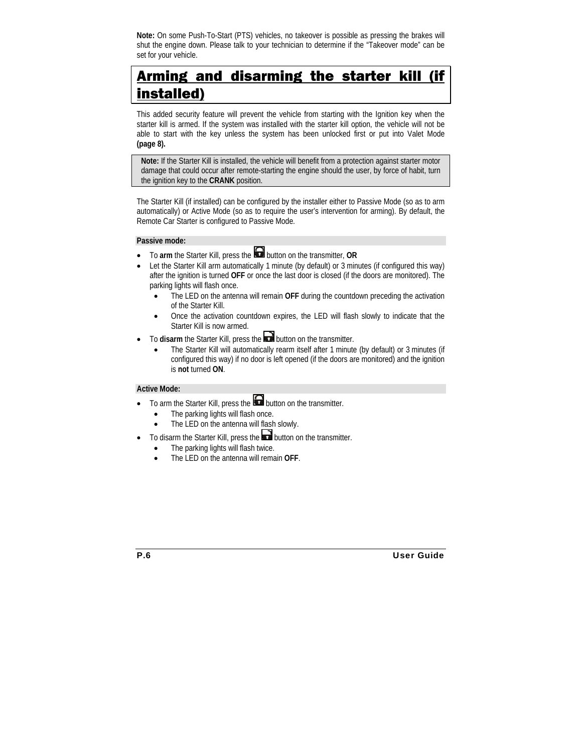**Note:** On some Push-To-Start (PTS) vehicles, no takeover is possible as pressing the brakes will shut the engine down. Please talk to your technician to determine if the "Takeover mode" can be set for your vehicle.

# Arming and disarming the starter kill (if installed)

This added security feature will prevent the vehicle from starting with the Ignition key when the starter kill is armed. If the system was installed with the starter kill option, the vehicle will not be able to start with the key unless the system has been unlocked first or put into Valet Mode **(page 8).**

**Note:** If the Starter Kill is installed, the vehicle will benefit from a protection against starter motor damage that could occur after remote-starting the engine should the user, by force of habit, turn the ignition key to the **CRANK** position.

The Starter Kill (if installed) can be configured by the installer either to Passive Mode (so as to arm automatically) or Active Mode (so as to require the user's intervention for arming). By default, the Remote Car Starter is configured to Passive Mode.

#### **Passive mode:**

- To **arm** the Starter Kill, press the button on the transmitter, **OR**
- Let the Starter Kill arm automatically 1 minute (by default) or 3 minutes (if configured this way) after the ignition is turned **OFF** or once the last door is closed (if the doors are monitored). The parking lights will flash once.
	- The LED on the antenna will remain **OFF** during the countdown preceding the activation of the Starter Kill.
	- Once the activation countdown expires, the LED will flash slowly to indicate that the Starter Kill is now armed.
- To disarm the Starter Kill, press the **button on the transmitter.** 
	- The Starter Kill will automatically rearm itself after 1 minute (by default) or 3 minutes (if configured this way) if no door is left opened (if the doors are monitored) and the ignition is **not** turned **ON**.

#### **Active Mode:**

- To arm the Starter Kill, press the  $\Box$  button on the transmitter.
	- The parking lights will flash once.
	- The LED on the antenna will flash slowly.
- To disarm the Starter Kill, press the **button on the transmitter.** 
	- The parking lights will flash twice.
	- The LED on the antenna will remain **OFF**.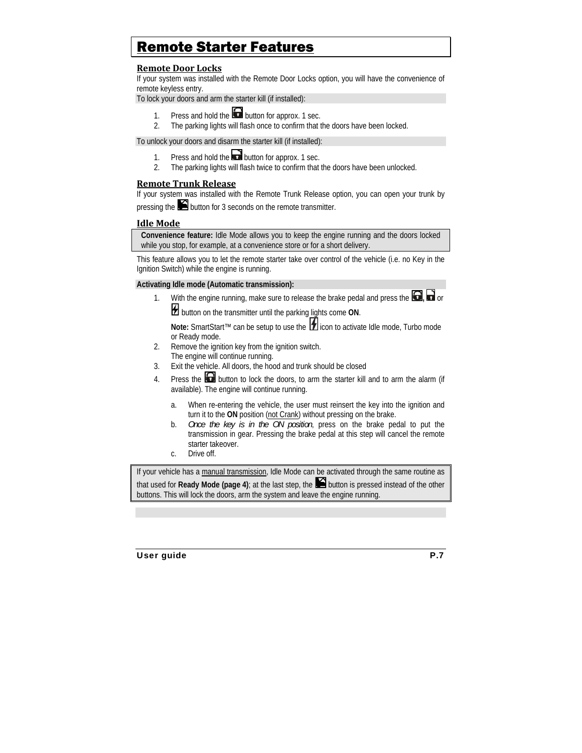# Remote Starter Features

## **Remote Door Locks**

If your system was installed with the Remote Door Locks option, you will have the convenience of remote keyless entry.

To lock your doors and arm the starter kill (if installed):

- 1. Press and hold the **button for approx.** 1 sec.
- 2. The parking lights will flash once to confirm that the doors have been locked.

To unlock your doors and disarm the starter kill (if installed):

- 1. Press and hold the **button for approx.** 1 sec.
- 2. The parking lights will flash twice to confirm that the doors have been unlocked.

### **Remote Trunk Release**

If your system was installed with the Remote Trunk Release option, you can open your trunk by pressing the **button for 3 seconds on the remote transmitter.** 

### **Idle Mode**

**Convenience feature:** Idle Mode allows you to keep the engine running and the doors locked while you stop, for example, at a convenience store or for a short delivery.

This feature allows you to let the remote starter take over control of the vehicle (i.e. no Key in the Ignition Switch) while the engine is running.

#### **Activating Idle mode (Automatic transmission):**

1. With the engine running, make sure to release the brake pedal and press the  $\Box$  or

 $\mathcal{B}$  button on the transmitter until the parking lights come ON.

**Note:** SmartStart™ can be setup to use the **in** icon to activate Idle mode, Turbo mode or Ready mode.

- 2. Remove the ignition key from the ignition switch. The engine will continue running.
- 3. Exit the vehicle. All doors, the hood and trunk should be closed
- 4. Press the  $\Box$  button to lock the doors, to arm the starter kill and to arm the alarm (if available). The engine will continue running.
	- a. When re-entering the vehicle, the user must reinsert the key into the ignition and turn it to the **ON** position (not Crank) without pressing on the brake.
	- b. *Once the key is in the ON position*, press on the brake pedal to put the transmission in gear. Pressing the brake pedal at this step will cancel the remote starter takeover.
	- c. Drive off.

If your vehicle has a manual transmission, Idle Mode can be activated through the same routine as that used for **Ready Mode (page 4)**; at the last step, the button is pressed instead of the other buttons. This will lock the doors, arm the system and leave the engine running.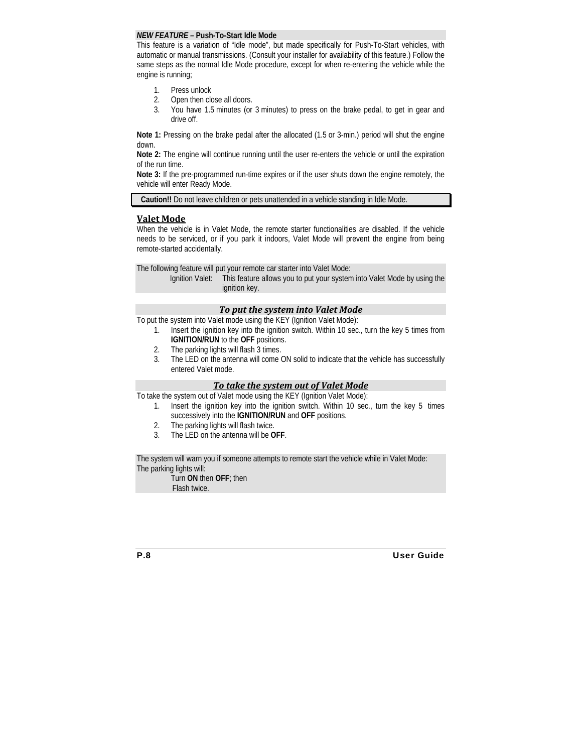#### *NEW FEATURE –* **Push-To-Start Idle Mode**

This feature is a variation of "Idle mode", but made specifically for Push-To-Start vehicles, with automatic or manual transmissions. (Consult your installer for availability of this feature.) Follow the same steps as the normal Idle Mode procedure, except for when re-entering the vehicle while the engine is running;

- 1. Press unlock
- 2. Open then close all doors.
- 3. You have 1.5 minutes (or 3 minutes) to press on the brake pedal, to get in gear and drive off.

**Note 1:** Pressing on the brake pedal after the allocated (1.5 or 3-min.) period will shut the engine down.

**Note 2:** The engine will continue running until the user re-enters the vehicle or until the expiration of the run time.

**Note 3:** If the pre-programmed run-time expires or if the user shuts down the engine remotely, the vehicle will enter Ready Mode.

**Caution!!** Do not leave children or pets unattended in a vehicle standing in Idle Mode.

#### **Valet Mode**

When the vehicle is in Valet Mode, the remote starter functionalities are disabled. If the vehicle needs to be serviced, or if you park it indoors, Valet Mode will prevent the engine from being remote-started accidentally.

The following feature will put your remote car starter into Valet Mode:

Ignition Valet: This feature allows you to put your system into Valet Mode by using the ignition key.

#### *To put the system into Valet Mode*

To put the system into Valet mode using the KEY (Ignition Valet Mode):

- 1. Insert the ignition key into the ignition switch. Within 10 sec., turn the key 5 times from **IGNITION/RUN** to the **OFF** positions.
- 2. The parking lights will flash 3 times.
- 3. The LED on the antenna will come ON solid to indicate that the vehicle has successfully entered Valet mode.

#### *To take the system out of Valet Mode*

To take the system out of Valet mode using the KEY (Ignition Valet Mode):

- 1. Insert the ignition key into the ignition switch. Within 10 sec., turn the key 5 times successively into the **IGNITION/RUN** and **OFF** positions.
- 2. The parking lights will flash twice.
- 3. The LED on the antenna will be **OFF**.

The system will warn you if someone attempts to remote start the vehicle while in Valet Mode: The parking lights will:

 Turn **ON** then **OFF**; then Flash twice.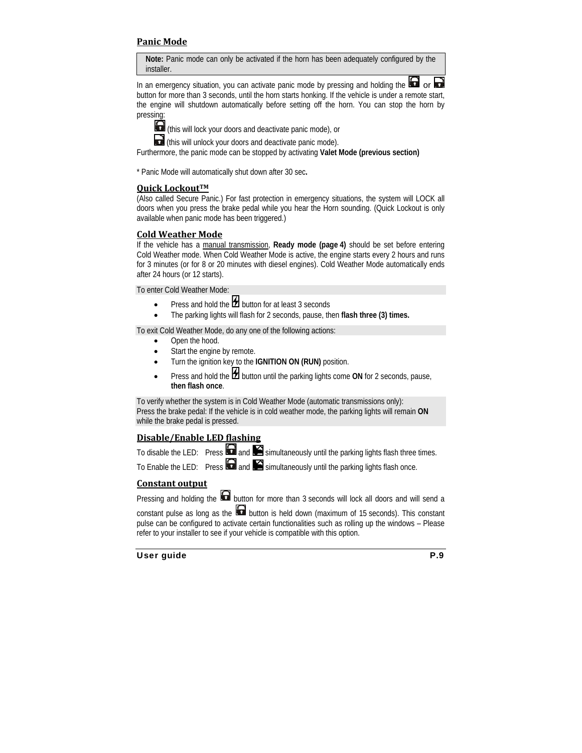## **Panic Mode**

**Note:** Panic mode can only be activated if the horn has been adequately configured by the installer.

In an emergency situation, you can activate panic mode by pressing and holding the button for more than 3 seconds, until the horn starts honking. If the vehicle is under a remote start, the engine will shutdown automatically before setting off the horn. You can stop the horn by pressing:



(this will lock your doors and deactivate panic mode), or

(this will unlock your doors and deactivate panic mode).

Furthermore, the panic mode can be stopped by activating **Valet Mode (previous section)**

\* Panic Mode will automatically shut down after 30 sec**.** 

#### **Quick Lockout™**

(Also called Secure Panic.) For fast protection in emergency situations, the system will LOCK all doors when you press the brake pedal while you hear the Horn sounding. (Quick Lockout is only available when panic mode has been triggered.)

#### **Cold Weather Mode**

If the vehicle has a manual transmission, **Ready mode (page 4)** should be set before entering Cold Weather mode. When Cold Weather Mode is active, the engine starts every 2 hours and runs for 3 minutes (or for 8 or 20 minutes with diesel engines). Cold Weather Mode automatically ends after 24 hours (or 12 starts).

To enter Cold Weather Mode:

- Press and hold the  $\sharp$  button for at least 3 seconds
- The parking lights will flash for 2 seconds, pause, then **flash three (3) times.**

To exit Cold Weather Mode, do any one of the following actions:

- Open the hood.
- Start the engine by remote.
- Turn the ignition key to the **IGNITION ON (RUN)** position.
- Press and hold the **H** button until the parking lights come ON for 2 seconds, pause, **then flash once**.

To verify whether the system is in Cold Weather Mode (automatic transmissions only): Press the brake pedal: If the vehicle is in cold weather mode, the parking lights will remain **ON** while the brake pedal is pressed.

# **Disable/Enable LED flashing**

|                                             | To disable the LED: Press $\Box$ and $\Box$ simultaneously until the parking lights flash three times. |
|---------------------------------------------|--------------------------------------------------------------------------------------------------------|
| الموارد المصادر المستنقل والمستنقل المستنقل |                                                                                                        |

To Enable the LED: Press  $\Box$  and  $\Box$  simultaneously until the parking lights flash once.

### **Constant output**

Pressing and holding the  $\blacksquare$  button for more than 3 seconds will lock all doors and will send a constant pulse as long as the **button** is held down (maximum of 15 seconds). This constant pulse can be configured to activate certain functionalities such as rolling up the windows – Please refer to your installer to see if your vehicle is compatible with this option.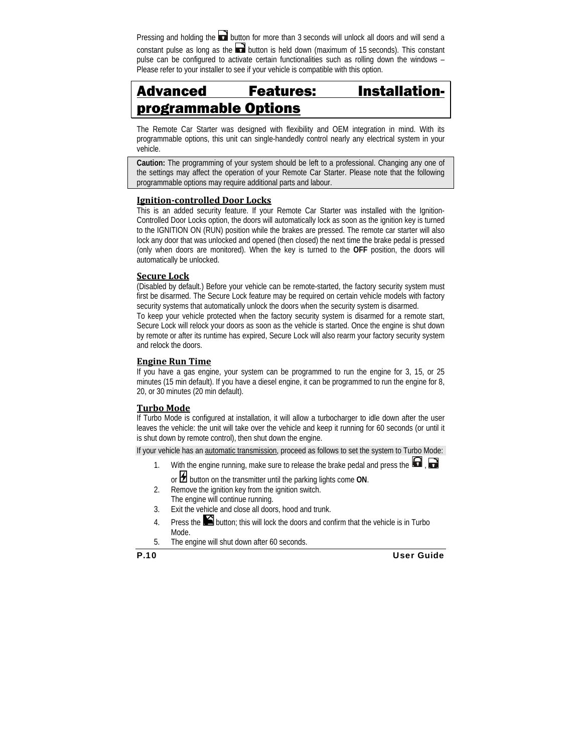Pressing and holding the **button for more than 3 seconds will unlock all doors and will send a** constant pulse as long as the **button** is held down (maximum of 15 seconds). This constant pulse can be configured to activate certain functionalities such as rolling down the windows – Please refer to your installer to see if your vehicle is compatible with this option.

# Advanced Features: Installationprogrammable Options

The Remote Car Starter was designed with flexibility and OEM integration in mind. With its programmable options, this unit can single-handedly control nearly any electrical system in your vehicle.

**Caution:** The programming of your system should be left to a professional. Changing any one of the settings may affect the operation of your Remote Car Starter. Please note that the following programmable options may require additional parts and labour.

### **Ignitioncontrolled Door Locks**

This is an added security feature. If your Remote Car Starter was installed with the Ignition-Controlled Door Locks option, the doors will automatically lock as soon as the ignition key is turned to the IGNITION ON (RUN) position while the brakes are pressed. The remote car starter will also lock any door that was unlocked and opened (then closed) the next time the brake pedal is pressed (only when doors are monitored). When the key is turned to the **OFF** position, the doors will automatically be unlocked.

#### **Secure Lock**

(Disabled by default.) Before your vehicle can be remote-started, the factory security system must first be disarmed. The Secure Lock feature may be required on certain vehicle models with factory security systems that automatically unlock the doors when the security system is disarmed.

To keep your vehicle protected when the factory security system is disarmed for a remote start, Secure Lock will relock your doors as soon as the vehicle is started. Once the engine is shut down by remote or after its runtime has expired, Secure Lock will also rearm your factory security system and relock the doors.

#### **Engine Run Time**

If you have a gas engine, your system can be programmed to run the engine for 3, 15, or 25 minutes (15 min default). If you have a diesel engine, it can be programmed to run the engine for 8, 20, or 30 minutes (20 min default).

### **Turbo Mode**

If Turbo Mode is configured at installation, it will allow a turbocharger to idle down after the user leaves the vehicle: the unit will take over the vehicle and keep it running for 60 seconds (or until it is shut down by remote control), then shut down the engine.

If your vehicle has an automatic transmission, proceed as follows to set the system to Turbo Mode:

- 1. With the engine running, make sure to release the brake pedal and press the  $\Box$ , or **1** button on the transmitter until the parking lights come ON.
- 2. Remove the ignition key from the ignition switch. The engine will continue running.
- 3. Exit the vehicle and close all doors, hood and trunk.
- 4. Press the  $\Box$  button; this will lock the doors and confirm that the vehicle is in Turbo Mode.
- 5. The engine will shut down after 60 seconds.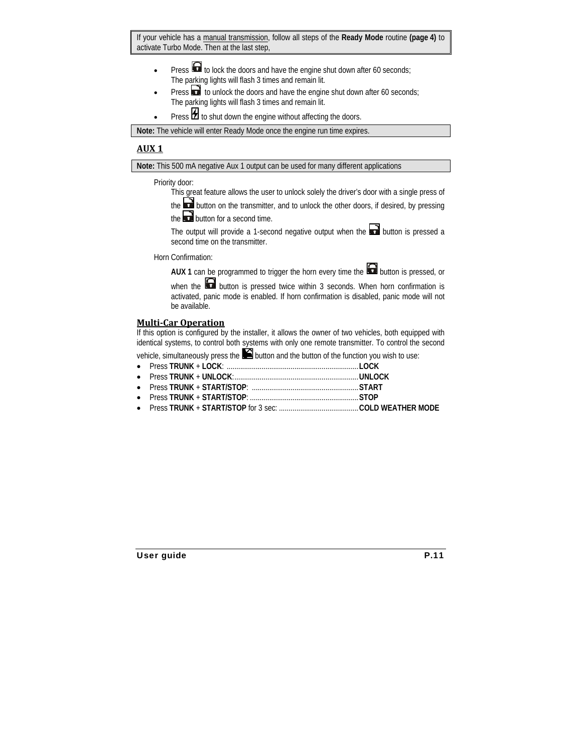If your vehicle has a manual transmission, follow all steps of the **Ready Mode** routine **(page 4)** to activate Turbo Mode. Then at the last step,

- Press **to** to lock the doors and have the engine shut down after 60 seconds; The parking lights will flash 3 times and remain lit.
- Press  $\bullet$  to unlock the doors and have the engine shut down after 60 seconds; The parking lights will flash 3 times and remain lit.
- Press  $\mathcal H$  to shut down the engine without affecting the doors.

**Note:** The vehicle will enter Ready Mode once the engine run time expires.

# **AUX 1**

**Note:** This 500 mA negative Aux 1 output can be used for many different applications

#### Priority door:

This great feature allows the user to unlock solely the driver's door with a single press of

the **button on the transmitter, and to unlock the other doors, if desired, by pressing** the  $\Box$  button for a second time.

The output will provide a 1-second negative output when the  $\blacksquare$  button is pressed a second time on the transmitter.

Horn Confirmation:

**AUX 1** can be programmed to trigger the horn every time the **button** is pressed, or

when the **button** is pressed twice within 3 seconds. When horn confirmation is activated, panic mode is enabled. If horn confirmation is disabled, panic mode will not be available.

### **MultiCar Operation**

If this option is configured by the installer, it allows the owner of two vehicles, both equipped with identical systems, to control both systems with only one remote transmitter. To control the second

vehicle, simultaneously press the  $\blacksquare$  button and the button of the function you wish to use: